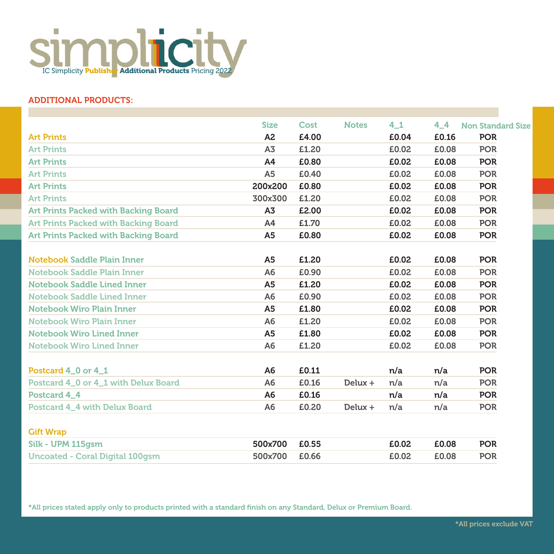

## ADDITIONAL PRODUCTS:

|                                        | <b>Size</b>    | Cost  | <b>Notes</b> | 4 <sub>1</sub> | 44    | <b>Non Standard Size</b> |
|----------------------------------------|----------------|-------|--------------|----------------|-------|--------------------------|
| <b>Art Prints</b>                      | A <sub>2</sub> | £4.00 |              | £0.04          | £0.16 | <b>POR</b>               |
| <b>Art Prints</b>                      | A <sub>3</sub> | £1.20 |              | £0.02          | £0.08 | <b>POR</b>               |
| <b>Art Prints</b>                      | A4             | £0.80 |              | £0.02          | £0.08 | <b>POR</b>               |
| <b>Art Prints</b>                      | A <sub>5</sub> | £0.40 |              | £0.02          | £0.08 | <b>POR</b>               |
| <b>Art Prints</b>                      | 200x200        | £0.80 |              | £0.02          | £0.08 | <b>POR</b>               |
| <b>Art Prints</b>                      | 300x300        | £1.20 |              | £0.02          | £0.08 | <b>POR</b>               |
| Art Prints Packed with Backing Board   | A3             | £2.00 |              | £0.02          | £0.08 | <b>POR</b>               |
| Art Prints Packed with Backing Board   | A4             | £1.70 |              | £0.02          | £0.08 | <b>POR</b>               |
| Art Prints Packed with Backing Board   | A <sub>5</sub> | £0.80 |              | £0.02          | £0.08 | <b>POR</b>               |
|                                        |                |       |              |                |       |                          |
| Notebook Saddle Plain Inner            | A <sub>5</sub> | £1.20 |              | £0.02          | £0.08 | <b>POR</b>               |
| Notebook Saddle Plain Inner            | A <sub>6</sub> | £0.90 |              | £0.02          | £0.08 | <b>POR</b>               |
| Notebook Saddle Lined Inner            | A <sub>5</sub> | £1.20 |              | £0.02          | £0.08 | <b>POR</b>               |
| Notebook Saddle Lined Inner            | A <sub>6</sub> | £0.90 |              | £0.02          | £0.08 | <b>POR</b>               |
| <b>Notebook Wiro Plain Inner</b>       | A <sub>5</sub> | £1.80 |              | £0.02          | £0.08 | <b>POR</b>               |
| <b>Notebook Wiro Plain Inner</b>       | A <sub>6</sub> | £1.20 |              | £0.02          | £0.08 | <b>POR</b>               |
| <b>Notebook Wiro Lined Inner</b>       | A5             | £1.80 |              | £0.02          | £0.08 | <b>POR</b>               |
| Notebook Wiro Lined Inner              | A <sub>6</sub> | £1.20 |              | £0.02          | £0.08 | <b>POR</b>               |
| Postcard 4_0 or 4_1                    | A6             | £0.11 |              | n/a            | n/a   | <b>POR</b>               |
| Postcard 4_0 or 4_1 with Delux Board   | A <sub>6</sub> | £0.16 | $Delta +$    | n/a            | n/a   | <b>POR</b>               |
| Postcard 4 4                           | A <sub>6</sub> | £0.16 |              | n/a            | n/a   | <b>POR</b>               |
| Postcard 4_4 with Delux Board          | A <sub>6</sub> | £0.20 | $Delta +$    | n/a            | n/a   | <b>POR</b>               |
| <b>Gift Wrap</b>                       |                |       |              |                |       |                          |
| Silk - UPM 115qsm                      | 500x700        | £0.55 |              | £0.02          | £0.08 | <b>POR</b>               |
| <b>Uncoated - Coral Digital 100gsm</b> | 500x700        | £0.66 |              | £0.02          | £0.08 | <b>POR</b>               |
|                                        |                |       |              |                |       |                          |

\*All prices stated apply only to products printed with a standard finish on any Standard, Delux or Premium Board.